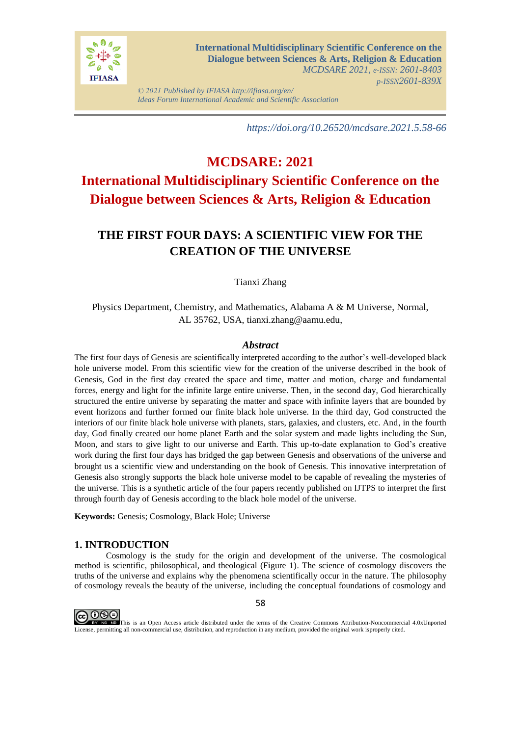

*© 2021 Published by IFIASA http://ifiasa.org/en/ Ideas Forum International Academic and Scientific Association*

*https://doi.org/10.26520/mcdsare.2021.5.58-66*

# **MCDSARE: 2021 International Multidisciplinary Scientific Conference on the Dialogue between Sciences & Arts, Religion & Education**

## **THE FIRST FOUR DAYS: A SCIENTIFIC VIEW FOR THE CREATION OF THE UNIVERSE**

Tianxi Zhang

Physics Department, Chemistry, and Mathematics, Alabama A & M Universe, Normal, AL 35762, USA, tianxi.zhang@aamu.edu,

## *Abstract*

The first four days of Genesis are scientifically interpreted according to the author's well-developed black hole universe model. From this scientific view for the creation of the universe described in the book of Genesis, God in the first day created the space and time, matter and motion, charge and fundamental forces, energy and light for the infinite large entire universe. Then, in the second day, God hierarchically structured the entire universe by separating the matter and space with infinite layers that are bounded by event horizons and further formed our finite black hole universe. In the third day, God constructed the interiors of our finite black hole universe with planets, stars, galaxies, and clusters, etc. And, in the fourth day, God finally created our home planet Earth and the solar system and made lights including the Sun, Moon, and stars to give light to our universe and Earth. This up-to-date explanation to God's creative work during the first four days has bridged the gap between Genesis and observations of the universe and brought us a scientific view and understanding on the book of Genesis. This innovative interpretation of Genesis also strongly supports the black hole universe model to be capable of revealing the mysteries of the universe. This is a synthetic article of the four papers recently published on IJTPS to interpret the first through fourth day of Genesis according to the black hole model of the universe.

**Keywords:** Genesis; Cosmology, Black Hole; Universe

## **1. INTRODUCTION**

Cosmology is the study for the origin and development of the universe. The cosmological method is scientific, philosophical, and theological (Figure 1). The science of cosmology discovers the truths of the universe and explains why the phenomena scientifically occur in the nature. The philosophy of cosmology reveals the beauty of the universe, including the conceptual foundations of cosmology and



58

This is an Open Access article distributed under the terms of the Creative Commons Attribution-Noncommercial 4.0xUnported License, permitting all non-commercial use, distribution, and reproduction in any medium, provided the original work isproperly cited.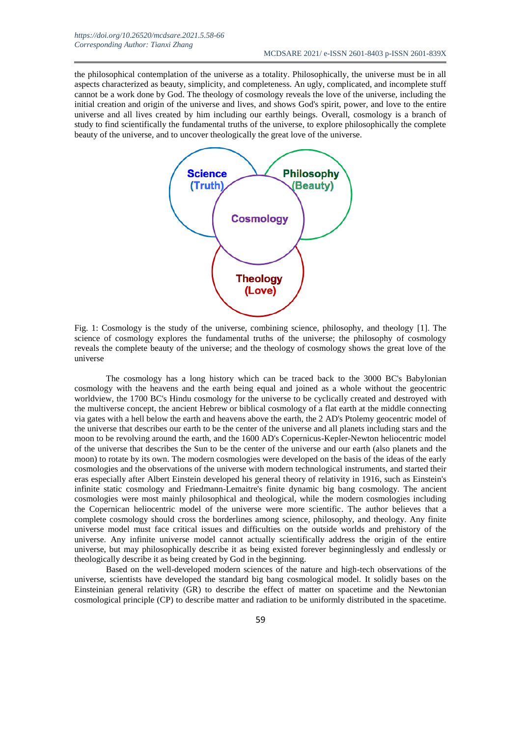the philosophical contemplation of the universe as a totality. Philosophically, the universe must be in all aspects characterized as beauty, simplicity, and completeness. An ugly, complicated, and incomplete stuff cannot be a work done by God. The theology of cosmology reveals the love of the universe, including the initial creation and origin of the universe and lives, and shows God's spirit, power, and love to the entire universe and all lives created by him including our earthly beings. Overall, cosmology is a branch of study to find scientifically the fundamental truths of the universe, to explore philosophically the complete beauty of the universe, and to uncover theologically the great love of the universe.



Fig. 1: Cosmology is the study of the universe, combining science, philosophy, and theology [1]. The science of cosmology explores the fundamental truths of the universe; the philosophy of cosmology reveals the complete beauty of the universe; and the theology of cosmology shows the great love of the universe

The cosmology has a long history which can be traced back to the 3000 BC's Babylonian cosmology with the heavens and the earth being equal and joined as a whole without the geocentric worldview, the 1700 BC's Hindu cosmology for the universe to be cyclically created and destroyed with the multiverse concept, the ancient Hebrew or biblical cosmology of a flat earth at the middle connecting via gates with a hell below the earth and heavens above the earth, the 2 AD's Ptolemy geocentric model of the universe that describes our earth to be the center of the universe and all planets including stars and the moon to be revolving around the earth, and the 1600 AD's Copernicus-Kepler-Newton heliocentric model of the universe that describes the Sun to be the center of the universe and our earth (also planets and the moon) to rotate by its own. The modern cosmologies were developed on the basis of the ideas of the early cosmologies and the observations of the universe with modern technological instruments, and started their eras especially after Albert Einstein developed his general theory of relativity in 1916, such as Einstein's infinite static cosmology and Friedmann-Lemaitre's finite dynamic big bang cosmology. The ancient cosmologies were most mainly philosophical and theological, while the modern cosmologies including the Copernican heliocentric model of the universe were more scientific. The author believes that a complete cosmology should cross the borderlines among science, philosophy, and theology. Any finite universe model must face critical issues and difficulties on the outside worlds and prehistory of the universe. Any infinite universe model cannot actually scientifically address the origin of the entire universe, but may philosophically describe it as being existed forever beginninglessly and endlessly or theologically describe it as being created by God in the beginning.

Based on the well-developed modern sciences of the nature and high-tech observations of the universe, scientists have developed the standard big bang cosmological model. It solidly bases on the Einsteinian general relativity (GR) to describe the effect of matter on spacetime and the Newtonian cosmological principle (CP) to describe matter and radiation to be uniformly distributed in the spacetime.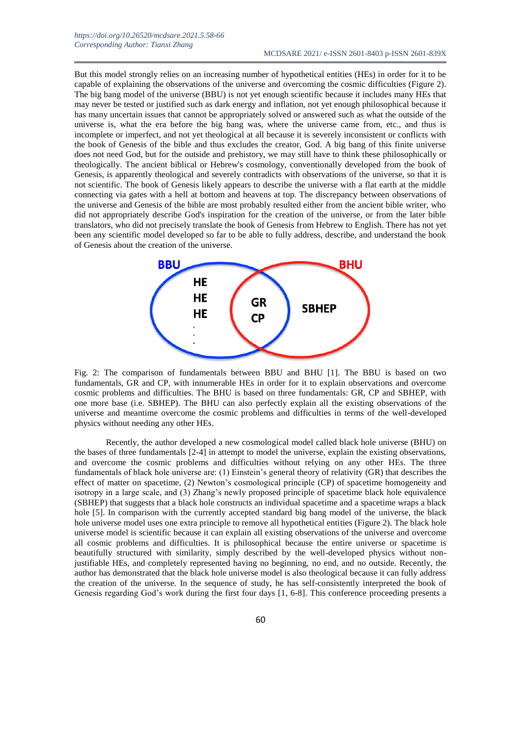But this model strongly relies on an increasing number of hypothetical entities (HEs) in order for it to be capable of explaining the observations of the universe and overcoming the cosmic difficulties (Figure 2). The big bang model of the universe (BBU) is not yet enough scientific because it includes many HEs that may never be tested or justified such as dark energy and inflation, not yet enough philosophical because it has many uncertain issues that cannot be appropriately solved or answered such as what the outside of the universe is, what the era before the big bang was, where the universe came from, etc., and thus is incomplete or imperfect, and not yet theological at all because it is severely inconsistent or conflicts with the book of Genesis of the bible and thus excludes the creator, God. A big bang of this finite universe does not need God, but for the outside and prehistory, we may still have to think these philosophically or theologically. The ancient biblical or Hebrew's cosmology, conventionally developed from the book of Genesis, is apparently theological and severely contradicts with observations of the universe, so that it is not scientific. The book of Genesis likely appears to describe the universe with a flat earth at the middle connecting via gates with a hell at bottom and heavens at top. The discrepancy between observations of the universe and Genesis of the bible are most probably resulted either from the ancient bible writer, who did not appropriately describe God's inspiration for the creation of the universe, or from the later bible translators, who did not precisely translate the book of Genesis from Hebrew to English. There has not yet been any scientific model developed so far to be able to fully address, describe, and understand the book of Genesis about the creation of the universe.



Fig. 2: The comparison of fundamentals between BBU and BHU [1]. The BBU is based on two fundamentals, GR and CP, with innumerable HEs in order for it to explain observations and overcome cosmic problems and difficulties. The BHU is based on three fundamentals: GR, CP and SBHEP, with one more base (i.e. SBHEP). The BHU can also perfectly explain all the existing observations of the universe and meantime overcome the cosmic problems and difficulties in terms of the well-developed physics without needing any other HEs.

Recently, the author developed a new cosmological model called black hole universe (BHU) on the bases of three fundamentals [2-4] in attempt to model the universe, explain the existing observations, and overcome the cosmic problems and difficulties without relying on any other HEs. The three fundamentals of black hole universe are: (1) Einstein's general theory of relativity (GR) that describes the effect of matter on spacetime, (2) Newton's cosmological principle (CP) of spacetime homogeneity and isotropy in a large scale, and (3) Zhang's newly proposed principle of spacetime black hole equivalence (SBHEP) that suggests that a black hole constructs an individual spacetime and a spacetime wraps a black hole [5]. In comparison with the currently accepted standard big bang model of the universe, the black hole universe model uses one extra principle to remove all hypothetical entities (Figure 2). The black hole universe model is scientific because it can explain all existing observations of the universe and overcome all cosmic problems and difficulties. It is philosophical because the entire universe or spacetime is beautifully structured with similarity, simply described by the well-developed physics without nonjustifiable HEs, and completely represented having no beginning, no end, and no outside. Recently, the author has demonstrated that the black hole universe model is also theological because it can fully address the creation of the universe. In the sequence of study, he has self-consistently interpreted the book of Genesis regarding God's work during the first four days [1, 6-8]. This conference proceeding presents a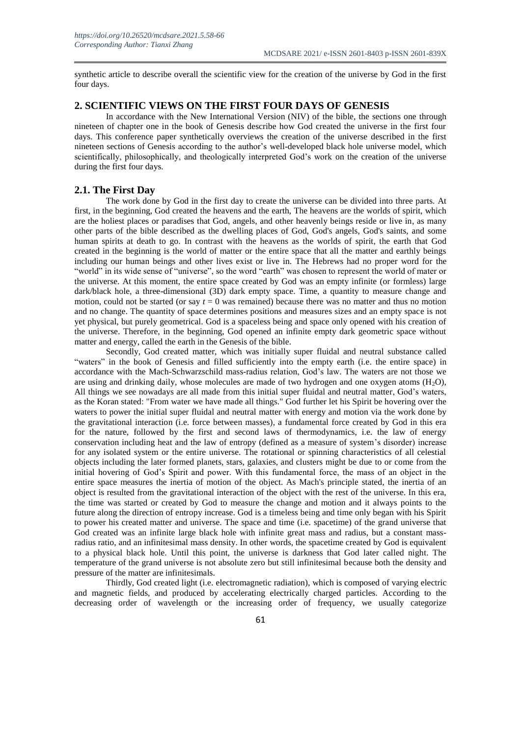synthetic article to describe overall the scientific view for the creation of the universe by God in the first four days.

## **2. SCIENTIFIC VIEWS ON THE FIRST FOUR DAYS OF GENESIS**

In accordance with the New International Version (NIV) of the bible, the sections one through nineteen of chapter one in the book of Genesis describe how God created the universe in the first four days. This conference paper synthetically overviews the creation of the universe described in the first nineteen sections of Genesis according to the author's well-developed black hole universe model, which scientifically, philosophically, and theologically interpreted God's work on the creation of the universe during the first four days.

#### **2.1. The First Day**

The work done by God in the first day to create the universe can be divided into three parts. At first, in the beginning, God created the heavens and the earth, The heavens are the worlds of spirit, which are the holiest places or paradises that God, angels, and other heavenly beings reside or live in, as many other parts of the bible described as the dwelling places of God, God's angels, God's saints, and some human spirits at death to go. In contrast with the heavens as the worlds of spirit, the earth that God created in the beginning is the world of matter or the entire space that all the matter and earthly beings including our human beings and other lives exist or live in. The Hebrews had no proper word for the "world" in its wide sense of "universe", so the word "earth" was chosen to represent the world of mater or the universe. At this moment, the entire space created by God was an empty infinite (or formless) large dark/black hole, a three-dimensional (3D) dark empty space. Time, a quantity to measure change and motion, could not be started (or say  $t = 0$  was remained) because there was no matter and thus no motion and no change. The quantity of space determines positions and measures sizes and an empty space is not yet physical, but purely geometrical. God is a spaceless being and space only opened with his creation of the universe. Therefore, in the beginning, God opened an infinite empty dark geometric space without matter and energy, called the earth in the Genesis of the bible.

Secondly, God created matter, which was initially super fluidal and neutral substance called "waters" in the book of Genesis and filled sufficiently into the empty earth (i.e. the entire space) in accordance with the Mach-Schwarzschild mass-radius relation, God's law. The waters are not those we are using and drinking daily, whose molecules are made of two hydrogen and one oxygen atoms  $(H<sub>2</sub>O)$ , All things we see nowadays are all made from this initial super fluidal and neutral matter, God's waters, as the Koran stated: "From water we have made all things." God further let his Spirit be hovering over the waters to power the initial super fluidal and neutral matter with energy and motion via the work done by the gravitational interaction (i.e. force between masses), a fundamental force created by God in this era for the nature, followed by the first and second laws of thermodynamics, i.e. the law of energy conservation including heat and the law of entropy (defined as a measure of system's disorder) increase for any isolated system or the entire universe. The rotational or spinning characteristics of all celestial objects including the later formed planets, stars, galaxies, and clusters might be due to or come from the initial hovering of God's Spirit and power. With this fundamental force, the mass of an object in the entire space measures the inertia of motion of the object. As Mach's principle stated, the inertia of an object is resulted from the gravitational interaction of the object with the rest of the universe. In this era, the time was started or created by God to measure the change and motion and it always points to the future along the direction of entropy increase. God is a timeless being and time only began with his Spirit to power his created matter and universe. The space and time (i.e. spacetime) of the grand universe that God created was an infinite large black hole with infinite great mass and radius, but a constant massradius ratio, and an infinitesimal mass density. In other words, the spacetime created by God is equivalent to a physical black hole. Until this point, the universe is darkness that God later called night. The temperature of the grand universe is not absolute zero but still infinitesimal because both the density and pressure of the matter are infinitesimals.

Thirdly, God created light (i.e. electromagnetic radiation), which is composed of varying electric and magnetic fields, and produced by accelerating electrically charged particles. According to the decreasing order of wavelength or the increasing order of frequency, we usually categorize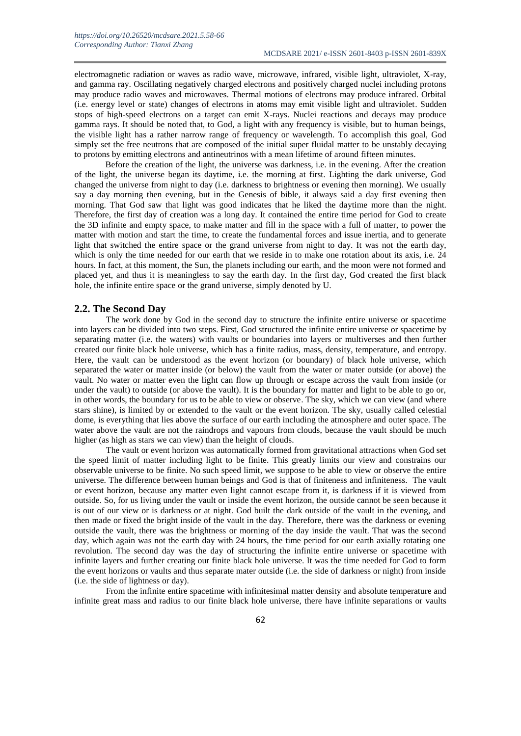electromagnetic radiation or waves as radio wave, microwave, infrared, visible light, ultraviolet, X-ray, and gamma ray. Oscillating negatively charged electrons and positively charged nuclei including protons may produce radio waves and microwaves. Thermal motions of electrons may produce infrared. Orbital (i.e. energy level or state) changes of electrons in atoms may emit visible light and ultraviolet. Sudden stops of high-speed electrons on a target can emit X-rays. Nuclei reactions and decays may produce gamma rays. It should be noted that, to God, a light with any frequency is visible, but to human beings, the visible light has a rather narrow range of frequency or wavelength. To accomplish this goal, God simply set the free neutrons that are composed of the initial super fluidal matter to be unstably decaying to protons by emitting electrons and antineutrinos with a mean lifetime of around fifteen minutes.

Before the creation of the light, the universe was darkness, i.e. in the evening. After the creation of the light, the universe began its daytime, i.e. the morning at first. Lighting the dark universe, God changed the universe from night to day (i.e. darkness to brightness or evening then morning). We usually say a day morning then evening, but in the Genesis of bible, it always said a day first evening then morning. That God saw that light was good indicates that he liked the daytime more than the night. Therefore, the first day of creation was a long day. It contained the entire time period for God to create the 3D infinite and empty space, to make matter and fill in the space with a full of matter, to power the matter with motion and start the time, to create the fundamental forces and issue inertia, and to generate light that switched the entire space or the grand universe from night to day. It was not the earth day, which is only the time needed for our earth that we reside in to make one rotation about its axis, i.e. 24 hours. In fact, at this moment, the Sun, the planets including our earth, and the moon were not formed and placed yet, and thus it is meaningless to say the earth day. In the first day, God created the first black hole, the infinite entire space or the grand universe, simply denoted by U.

#### **2.2. The Second Day**

The work done by God in the second day to structure the infinite entire universe or spacetime into layers can be divided into two steps. First, God structured the infinite entire universe or spacetime by separating matter (i.e. the waters) with vaults or boundaries into layers or multiverses and then further created our finite black hole universe, which has a finite radius, mass, density, temperature, and entropy. Here, the vault can be understood as the event horizon (or boundary) of black hole universe, which separated the water or matter inside (or below) the vault from the water or mater outside (or above) the vault. No water or matter even the light can flow up through or escape across the vault from inside (or under the vault) to outside (or above the vault). It is the boundary for matter and light to be able to go or, in other words, the boundary for us to be able to view or observe. The sky, which we can view (and where stars shine), is limited by or extended to the vault or the event horizon. The sky, usually called celestial dome, is everything that lies above the surface of our earth including the atmosphere and outer space. The water above the vault are not the raindrops and vapours from clouds, because the vault should be much higher (as high as stars we can view) than the height of clouds.

The vault or event horizon was automatically formed from gravitational attractions when God set the speed limit of matter including light to be finite. This greatly limits our view and constrains our observable universe to be finite. No such speed limit, we suppose to be able to view or observe the entire universe. The difference between human beings and God is that of finiteness and infiniteness. The vault or event horizon, because any matter even light cannot escape from it, is darkness if it is viewed from outside. So, for us living under the vault or inside the event horizon, the outside cannot be seen because it is out of our view or is darkness or at night. God built the dark outside of the vault in the evening, and then made or fixed the bright inside of the vault in the day. Therefore, there was the darkness or evening outside the vault, there was the brightness or morning of the day inside the vault. That was the second day, which again was not the earth day with 24 hours, the time period for our earth axially rotating one revolution. The second day was the day of structuring the infinite entire universe or spacetime with infinite layers and further creating our finite black hole universe. It was the time needed for God to form the event horizons or vaults and thus separate mater outside (i.e. the side of darkness or night) from inside (i.e. the side of lightness or day).

From the infinite entire spacetime with infinitesimal matter density and absolute temperature and infinite great mass and radius to our finite black hole universe, there have infinite separations or vaults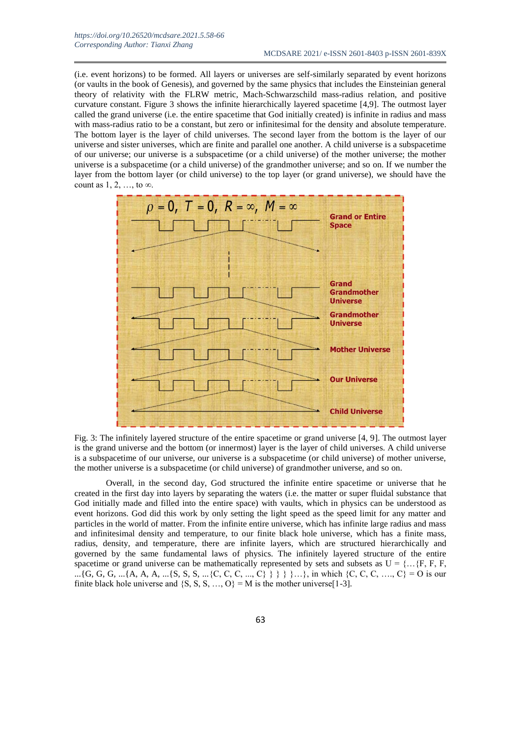(i.e. event horizons) to be formed. All layers or universes are self-similarly separated by event horizons (or vaults in the book of Genesis), and governed by the same physics that includes the Einsteinian general theory of relativity with the FLRW metric, Mach-Schwarzschild mass-radius relation, and positive curvature constant. Figure 3 shows the infinite hierarchically layered spacetime [4,9]. The outmost layer called the grand universe (i.e. the entire spacetime that God initially created) is infinite in radius and mass with mass-radius ratio to be a constant, but zero or infinitesimal for the density and absolute temperature. The bottom layer is the layer of child universes. The second layer from the bottom is the layer of our universe and sister universes, which are finite and parallel one another. A child universe is a subspacetime of our universe; our universe is a subspacetime (or a child universe) of the mother universe; the mother universe is a subspacetime (or a child universe) of the grandmother universe; and so on. If we number the layer from the bottom layer (or child universe) to the top layer (or grand universe), we should have the count as  $1, 2, \ldots$ , to  $\infty$ .



Fig. 3: The infinitely layered structure of the entire spacetime or grand universe [4, 9]. The outmost layer is the grand universe and the bottom (or innermost) layer is the layer of child universes. A child universe is a subspacetime of our universe, our universe is a subspacetime (or child universe) of mother universe, the mother universe is a subspacetime (or child universe) of grandmother universe, and so on.

Overall, in the second day, God structured the infinite entire spacetime or universe that he created in the first day into layers by separating the waters (i.e. the matter or super fluidal substance that God initially made and filled into the entire space) with vaults, which in physics can be understood as event horizons. God did this work by only setting the light speed as the speed limit for any matter and particles in the world of matter. From the infinite entire universe, which has infinite large radius and mass and infinitesimal density and temperature, to our finite black hole universe, which has a finite mass, radius, density, and temperature, there are infinite layers, which are structured hierarchically and governed by the same fundamental laws of physics. The infinitely layered structure of the entire spacetime or grand universe can be mathematically represented by sets and subsets as  $U = \{... \}$ F, F, F, F, ...{G, G, G, ...{A, A, A, ...{S, S, S, ...{C, C, C, ..., C} } } }...}, in which {C, C, C, ..., C} = O is our finite black hole universe and  $\{S, S, S, ..., O\} = M$  is the mother universe [1-3].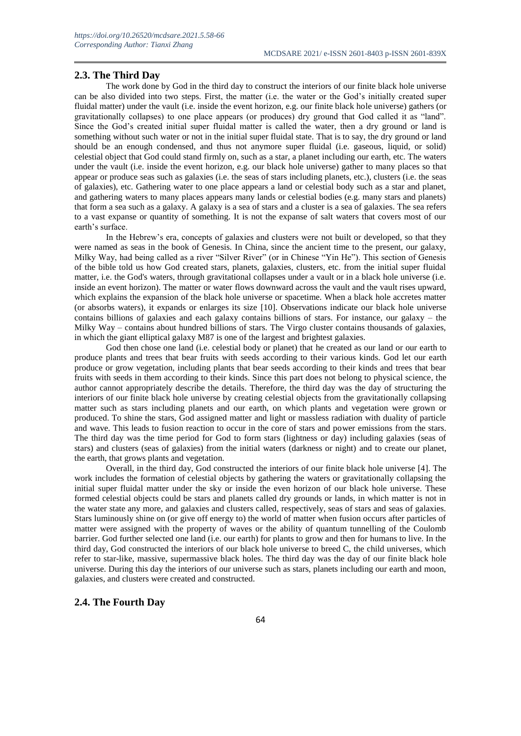## **2.3. The Third Day**

The work done by God in the third day to construct the interiors of our finite black hole universe can be also divided into two steps. First, the matter (i.e. the water or the God's initially created super fluidal matter) under the vault (i.e. inside the event horizon, e.g. our finite black hole universe) gathers (or gravitationally collapses) to one place appears (or produces) dry ground that God called it as "land". Since the God's created initial super fluidal matter is called the water, then a dry ground or land is something without such water or not in the initial super fluidal state. That is to say, the dry ground or land should be an enough condensed, and thus not anymore super fluidal (i.e. gaseous, liquid, or solid) celestial object that God could stand firmly on, such as a star, a planet including our earth, etc. The waters under the vault (i.e. inside the event horizon, e.g. our black hole universe) gather to many places so that appear or produce seas such as galaxies (i.e. the seas of stars including planets, etc.), clusters (i.e. the seas of galaxies), etc. Gathering water to one place appears a land or celestial body such as a star and planet, and gathering waters to many places appears many lands or celestial bodies (e.g. many stars and planets) that form a sea such as a galaxy. A galaxy is a sea of stars and a cluster is a sea of galaxies. The sea refers to a vast expanse or quantity of something. It is not the expanse of salt waters that covers most of our earth's surface.

In the Hebrew's era, concepts of galaxies and clusters were not built or developed, so that they were named as seas in the book of Genesis. In China, since the ancient time to the present, our galaxy, Milky Way, had being called as a river "Silver River" (or in Chinese "Yin He"). This section of Genesis of the bible told us how God created stars, planets, galaxies, clusters, etc. from the initial super fluidal matter, i.e. the God's waters, through gravitational collapses under a vault or in a black hole universe (i.e. inside an event horizon). The matter or water flows downward across the vault and the vault rises upward, which explains the expansion of the black hole universe or spacetime. When a black hole accretes matter (or absorbs waters), it expands or enlarges its size [10]. Observations indicate our black hole universe contains billions of galaxies and each galaxy contains billions of stars. For instance, our galaxy – the Milky Way – contains about hundred billions of stars. The Virgo cluster contains thousands of galaxies, in which the giant elliptical galaxy M87 is one of the largest and brightest galaxies.

God then chose one land (i.e. celestial body or planet) that he created as our land or our earth to produce plants and trees that bear fruits with seeds according to their various kinds. God let our earth produce or grow vegetation, including plants that bear seeds according to their kinds and trees that bear fruits with seeds in them according to their kinds. Since this part does not belong to physical science, the author cannot appropriately describe the details. Therefore, the third day was the day of structuring the interiors of our finite black hole universe by creating celestial objects from the gravitationally collapsing matter such as stars including planets and our earth, on which plants and vegetation were grown or produced. To shine the stars, God assigned matter and light or massless radiation with duality of particle and wave. This leads to fusion reaction to occur in the core of stars and power emissions from the stars. The third day was the time period for God to form stars (lightness or day) including galaxies (seas of stars) and clusters (seas of galaxies) from the initial waters (darkness or night) and to create our planet, the earth, that grows plants and vegetation.

Overall, in the third day, God constructed the interiors of our finite black hole universe [4]. The work includes the formation of celestial objects by gathering the waters or gravitationally collapsing the initial super fluidal matter under the sky or inside the even horizon of our black hole universe. These formed celestial objects could be stars and planets called dry grounds or lands, in which matter is not in the water state any more, and galaxies and clusters called, respectively, seas of stars and seas of galaxies. Stars luminously shine on (or give off energy to) the world of matter when fusion occurs after particles of matter were assigned with the property of waves or the ability of quantum tunnelling of the Coulomb barrier. God further selected one land (i.e. our earth) for plants to grow and then for humans to live. In the third day, God constructed the interiors of our black hole universe to breed C, the child universes, which refer to star-like, massive, supermassive black holes. The third day was the day of our finite black hole universe. During this day the interiors of our universe such as stars, planets including our earth and moon, galaxies, and clusters were created and constructed.

## **2.4. The Fourth Day**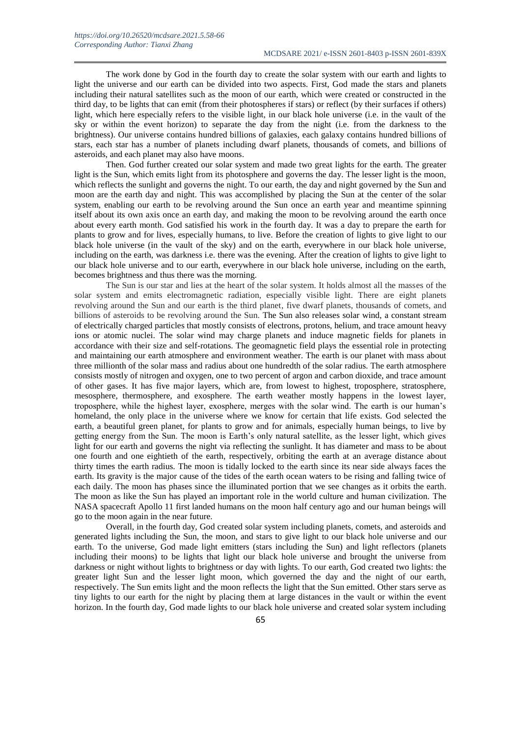The work done by God in the fourth day to create the solar system with our earth and lights to light the universe and our earth can be divided into two aspects. First, God made the stars and planets including their natural satellites such as the moon of our earth, which were created or constructed in the third day, to be lights that can emit (from their photospheres if stars) or reflect (by their surfaces if others) light, which here especially refers to the visible light, in our black hole universe (i.e. in the vault of the sky or within the event horizon) to separate the day from the night (i.e. from the darkness to the brightness). Our universe contains hundred billions of galaxies, each galaxy contains hundred billions of stars, each star has a number of planets including dwarf planets, thousands of comets, and billions of asteroids, and each planet may also have moons.

Then. God further created our solar system and made two great lights for the earth. The greater light is the Sun, which emits light from its photosphere and governs the day. The lesser light is the moon, which reflects the sunlight and governs the night. To our earth, the day and night governed by the Sun and moon are the earth day and night. This was accomplished by placing the Sun at the center of the solar system, enabling our earth to be revolving around the Sun once an earth year and meantime spinning itself about its own axis once an earth day, and making the moon to be revolving around the earth once about every earth month. God satisfied his work in the fourth day. It was a day to prepare the earth for plants to grow and for lives, especially humans, to live. Before the creation of lights to give light to our black hole universe (in the vault of the sky) and on the earth, everywhere in our black hole universe, including on the earth, was darkness i.e. there was the evening. After the creation of lights to give light to our black hole universe and to our earth, everywhere in our black hole universe, including on the earth, becomes brightness and thus there was the morning.

The Sun is our star and lies at the heart of the solar system. It holds almost all the masses of the solar system and emits electromagnetic radiation, especially visible light. There are eight planets revolving around the Sun and our earth is the third planet, five dwarf planets, thousands of comets, and billions of asteroids to be revolving around the Sun. The Sun also releases solar wind, a constant stream of electrically charged particles that mostly consists of electrons, protons, helium, and trace amount heavy ions or atomic nuclei. The solar wind may charge planets and induce magnetic fields for planets in accordance with their size and self-rotations. The geomagnetic field plays the essential role in protecting and maintaining our earth atmosphere and environment weather. The earth is our planet with mass about three millionth of the solar mass and radius about one hundredth of the solar radius. The earth atmosphere consists mostly of nitrogen and oxygen, one to two percent of argon and carbon dioxide, and trace amount of other gases. It has five major layers, which are, from lowest to highest, troposphere, stratosphere, mesosphere, thermosphere, and exosphere. The earth weather mostly happens in the lowest layer, troposphere, while the highest layer, exosphere, merges with the solar wind. The earth is our human's homeland, the only place in the universe where we know for certain that life exists. God selected the earth, a beautiful green planet, for plants to grow and for animals, especially human beings, to live by getting energy from the Sun. The moon is Earth's only natural satellite, as the lesser light, which gives light for our earth and governs the night via reflecting the sunlight. It has diameter and mass to be about one fourth and one eightieth of the earth, respectively, orbiting the earth at an average distance about thirty times the earth radius. The moon is tidally locked to the earth since its near side always faces the earth. Its gravity is the major cause of the tides of the earth ocean waters to be rising and falling twice of each daily. The moon has phases since the illuminated portion that we see changes as it orbits the earth. The moon as like the Sun has played an important role in the world culture and human civilization. The NASA spacecraft Apollo 11 first landed humans on the moon half century ago and our human beings will go to the moon again in the near future.

Overall, in the fourth day, God created solar system including planets, comets, and asteroids and generated lights including the Sun, the moon, and stars to give light to our black hole universe and our earth. To the universe, God made light emitters (stars including the Sun) and light reflectors (planets including their moons) to be lights that light our black hole universe and brought the universe from darkness or night without lights to brightness or day with lights. To our earth, God created two lights: the greater light Sun and the lesser light moon, which governed the day and the night of our earth, respectively. The Sun emits light and the moon reflects the light that the Sun emitted. Other stars serve as tiny lights to our earth for the night by placing them at large distances in the vault or within the event horizon. In the fourth day, God made lights to our black hole universe and created solar system including